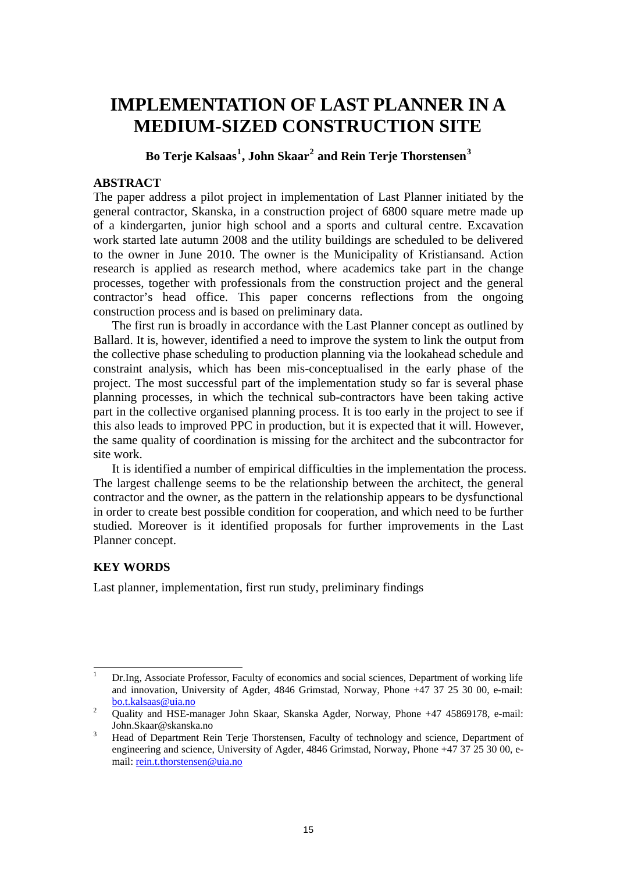# **IMPLEMENTATION OF LAST PLANNER IN A MEDIUM-SIZED CONSTRUCTION SITE**

**Bo Terje Kalsaas[1](#page-0-0) , John Skaar[2](#page-0-1) and Rein Terje Thorstensen[3](#page-0-2)**

# **ABSTRACT**

The paper address a pilot project in implementation of Last Planner initiated by the general contractor, Skanska, in a construction project of 6800 square metre made up of a kindergarten, junior high school and a sports and cultural centre. Excavation work started late autumn 2008 and the utility buildings are scheduled to be delivered to the owner in June 2010. The owner is the Municipality of Kristiansand. Action research is applied as research method, where academics take part in the change processes, together with professionals from the construction project and the general contractor's head office. This paper concerns reflections from the ongoing construction process and is based on preliminary data.

The first run is broadly in accordance with the Last Planner concept as outlined by Ballard. It is, however, identified a need to improve the system to link the output from the collective phase scheduling to production planning via the lookahead schedule and constraint analysis, which has been mis-conceptualised in the early phase of the project. The most successful part of the implementation study so far is several phase planning processes, in which the technical sub-contractors have been taking active part in the collective organised planning process. It is too early in the project to see if this also leads to improved PPC in production, but it is expected that it will. However, the same quality of coordination is missing for the architect and the subcontractor for site work.

It is identified a number of empirical difficulties in the implementation the process. The largest challenge seems to be the relationship between the architect, the general contractor and the owner, as the pattern in the relationship appears to be dysfunctional in order to create best possible condition for cooperation, and which need to be further studied. Moreover is it identified proposals for further improvements in the Last Planner concept.

# **KEY WORDS**

Last planner, implementation, first run study, preliminary findings

<span id="page-0-0"></span><sup>|&</sup>lt;br>|<br>| Dr.Ing, Associate Professor, Faculty of economics and social sciences, Department of working life and innovation, University of Agder, 4846 Grimstad, Norway, Phone +47 37 25 30 00, e-mail:  $\frac{\text{bo.t.} \text{kalsaas} \omega_{\text{uia.no}}}{\text{O.} \text{hig.} \omega_{\text{u}} \text{MSE}}$ 

<span id="page-0-1"></span>Quality and HSE-manager John Skaar, Skanska Agder, Norway, Phone +47 45869178, e-mail: John.Skaar@skanska.no <sup>3</sup>

<span id="page-0-2"></span>Head of Department Rein Terje Thorstensen, Faculty of technology and science, Department of engineering and science, University of Agder, 4846 Grimstad, Norway, Phone +47 37 25 30 00, email: [rein.t.thorstensen@uia.no](mailto:rein.t.thorstensen@uia.no)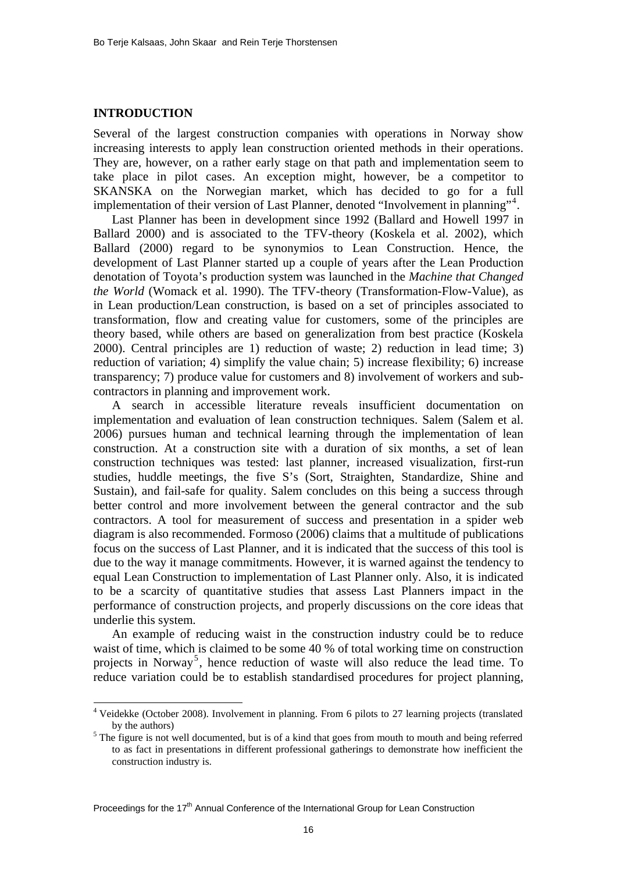#### **INTRODUCTION**

 $\overline{a}$ 

Several of the largest construction companies with operations in Norway show increasing interests to apply lean construction oriented methods in their operations. They are, however, on a rather early stage on that path and implementation seem to take place in pilot cases. An exception might, however, be a competitor to SKANSKA on the Norwegian market, which has decided to go for a full implementation of their version of Last Planner, denoted "Involvement in planning"<sup>[4](#page-1-0)</sup>.

Last Planner has been in development since 1992 (Ballard and Howell 1997 in Ballard 2000) and is associated to the TFV-theory (Koskela et al. 2002), which Ballard (2000) regard to be synonymios to Lean Construction. Hence, the development of Last Planner started up a couple of years after the Lean Production denotation of Toyota's production system was launched in the *Machine that Changed the World* (Womack et al. 1990). The TFV-theory (Transformation-Flow-Value), as in Lean production/Lean construction, is based on a set of principles associated to transformation, flow and creating value for customers, some of the principles are theory based, while others are based on generalization from best practice (Koskela 2000). Central principles are 1) reduction of waste; 2) reduction in lead time; 3) reduction of variation; 4) simplify the value chain; 5) increase flexibility; 6) increase transparency; 7) produce value for customers and 8) involvement of workers and subcontractors in planning and improvement work.

A search in accessible literature reveals insufficient documentation on implementation and evaluation of lean construction techniques. Salem (Salem et al. 2006) pursues human and technical learning through the implementation of lean construction. At a construction site with a duration of six months, a set of lean construction techniques was tested: last planner, increased visualization, first-run studies, huddle meetings, the five S's (Sort, Straighten, Standardize, Shine and Sustain), and fail-safe for quality. Salem concludes on this being a success through better control and more involvement between the general contractor and the sub contractors. A tool for measurement of success and presentation in a spider web diagram is also recommended. Formoso (2006) claims that a multitude of publications focus on the success of Last Planner, and it is indicated that the success of this tool is due to the way it manage commitments. However, it is warned against the tendency to equal Lean Construction to implementation of Last Planner only. Also, it is indicated to be a scarcity of quantitative studies that assess Last Planners impact in the performance of construction projects, and properly discussions on the core ideas that underlie this system.

An example of reducing waist in the construction industry could be to reduce waist of time, which is claimed to be some 40 % of total working time on construction projects in Norway<sup>[5](#page-1-1)</sup>, hence reduction of waste will also reduce the lead time. To reduce variation could be to establish standardised procedures for project planning,

Proceedings for the  $17<sup>th</sup>$  Annual Conference of the International Group for Lean Construction

<span id="page-1-0"></span><sup>4</sup> Veidekke (October 2008). Involvement in planning. From 6 pilots to 27 learning projects (translated by the authors)<br><sup>5</sup> The figure is not well documented, but is of a kind that goes from mouth to mouth and being referred

<span id="page-1-1"></span>to as fact in presentations in different professional gatherings to demonstrate how inefficient the construction industry is.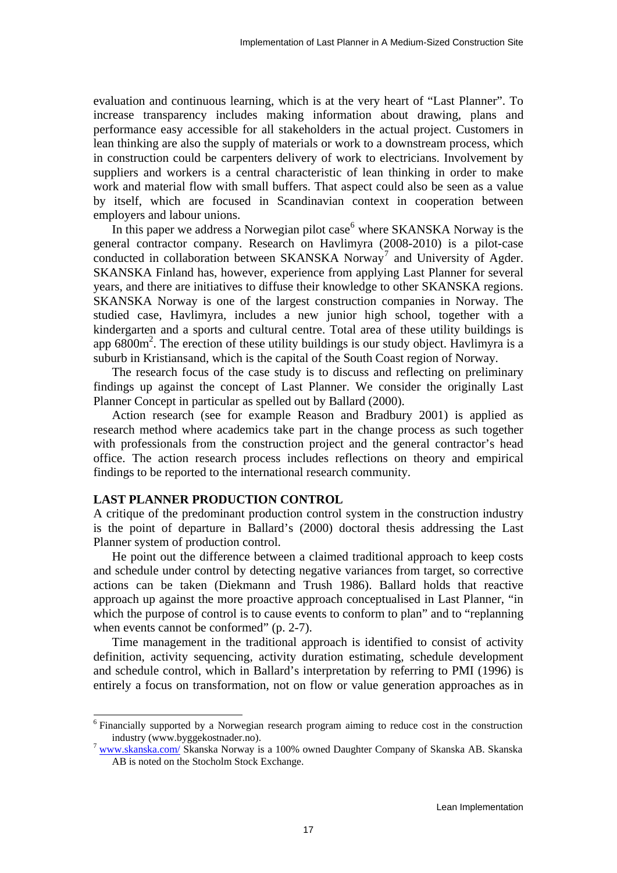evaluation and continuous learning, which is at the very heart of "Last Planner". To increase transparency includes making information about drawing, plans and performance easy accessible for all stakeholders in the actual project. Customers in lean thinking are also the supply of materials or work to a downstream process, which in construction could be carpenters delivery of work to electricians. Involvement by suppliers and workers is a central characteristic of lean thinking in order to make work and material flow with small buffers. That aspect could also be seen as a value by itself, which are focused in Scandinavian context in cooperation between employers and labour unions.

In this paper we address a Norwegian pilot case<sup>[6](#page-2-0)</sup> where SKANSKA Norway is the general contractor company. Research on Havlimyra (2008-2010) is a pilot-case conducted in collaboration between SKANSKA Norway<sup>[7](#page-2-1)</sup> and University of Agder. SKANSKA Finland has, however, experience from applying Last Planner for several years, and there are initiatives to diffuse their knowledge to other SKANSKA regions. SKANSKA Norway is one of the largest construction companies in Norway. The studied case, Havlimyra, includes a new junior high school, together with a kindergarten and a sports and cultural centre. Total area of these utility buildings is app  $6800m^2$ . The erection of these utility buildings is our study object. Havlimyra is a suburb in Kristiansand, which is the capital of the South Coast region of Norway.

The research focus of the case study is to discuss and reflecting on preliminary findings up against the concept of Last Planner. We consider the originally Last Planner Concept in particular as spelled out by Ballard (2000).

Action research (see for example Reason and Bradbury 2001) is applied as research method where academics take part in the change process as such together with professionals from the construction project and the general contractor's head office. The action research process includes reflections on theory and empirical findings to be reported to the international research community.

## **LAST PLANNER PRODUCTION CONTROL**

 $\overline{a}$ 

A critique of the predominant production control system in the construction industry is the point of departure in Ballard's (2000) doctoral thesis addressing the Last Planner system of production control.

He point out the difference between a claimed traditional approach to keep costs and schedule under control by detecting negative variances from target, so corrective actions can be taken (Diekmann and Trush 1986). Ballard holds that reactive approach up against the more proactive approach conceptualised in Last Planner, "in which the purpose of control is to cause events to conform to plan" and to "replanning" when events cannot be conformed" (p. 2-7).

Time management in the traditional approach is identified to consist of activity definition, activity sequencing, activity duration estimating, schedule development and schedule control, which in Ballard's interpretation by referring to PMI (1996) is entirely a focus on transformation, not on flow or value generation approaches as in

<span id="page-2-0"></span><sup>&</sup>lt;sup>6</sup> Financially supported by a Norwegian research program aiming to reduce cost in the construction industry (www.byggekostnader.no). <sup>7</sup> [www.skanska.com/](http://www.skanska.com/) Skanska Norway is a 100% owned Daughter Company of Skanska AB. Skanska

<span id="page-2-1"></span>AB is noted on the Stocholm Stock Exchange.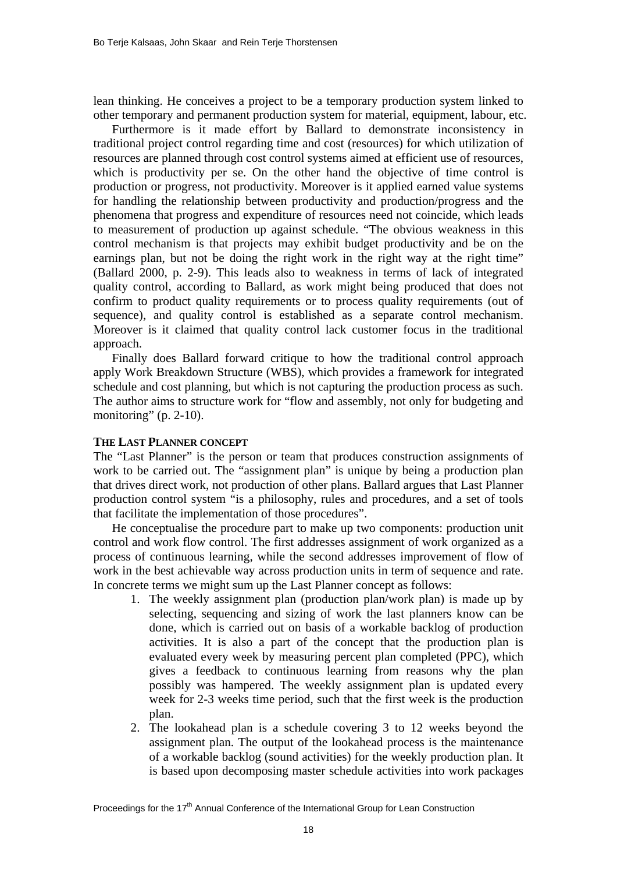lean thinking. He conceives a project to be a temporary production system linked to other temporary and permanent production system for material, equipment, labour, etc.

Furthermore is it made effort by Ballard to demonstrate inconsistency in traditional project control regarding time and cost (resources) for which utilization of resources are planned through cost control systems aimed at efficient use of resources, which is productivity per se. On the other hand the objective of time control is production or progress, not productivity. Moreover is it applied earned value systems for handling the relationship between productivity and production/progress and the phenomena that progress and expenditure of resources need not coincide, which leads to measurement of production up against schedule. "The obvious weakness in this control mechanism is that projects may exhibit budget productivity and be on the earnings plan, but not be doing the right work in the right way at the right time" (Ballard 2000, p. 2-9). This leads also to weakness in terms of lack of integrated quality control, according to Ballard, as work might being produced that does not confirm to product quality requirements or to process quality requirements (out of sequence), and quality control is established as a separate control mechanism. Moreover is it claimed that quality control lack customer focus in the traditional approach.

Finally does Ballard forward critique to how the traditional control approach apply Work Breakdown Structure (WBS), which provides a framework for integrated schedule and cost planning, but which is not capturing the production process as such. The author aims to structure work for "flow and assembly, not only for budgeting and monitoring"  $(p. 2-10)$ .

#### **THE LAST PLANNER CONCEPT**

The "Last Planner" is the person or team that produces construction assignments of work to be carried out. The "assignment plan" is unique by being a production plan that drives direct work, not production of other plans. Ballard argues that Last Planner production control system "is a philosophy, rules and procedures, and a set of tools that facilitate the implementation of those procedures".

He conceptualise the procedure part to make up two components: production unit control and work flow control. The first addresses assignment of work organized as a process of continuous learning, while the second addresses improvement of flow of work in the best achievable way across production units in term of sequence and rate. In concrete terms we might sum up the Last Planner concept as follows:

- 1. The weekly assignment plan (production plan/work plan) is made up by selecting, sequencing and sizing of work the last planners know can be done, which is carried out on basis of a workable backlog of production activities. It is also a part of the concept that the production plan is evaluated every week by measuring percent plan completed (PPC), which gives a feedback to continuous learning from reasons why the plan possibly was hampered. The weekly assignment plan is updated every week for 2-3 weeks time period, such that the first week is the production plan.
- 2. The lookahead plan is a schedule covering 3 to 12 weeks beyond the assignment plan. The output of the lookahead process is the maintenance of a workable backlog (sound activities) for the weekly production plan. It is based upon decomposing master schedule activities into work packages

Proceedings for the 17<sup>th</sup> Annual Conference of the International Group for Lean Construction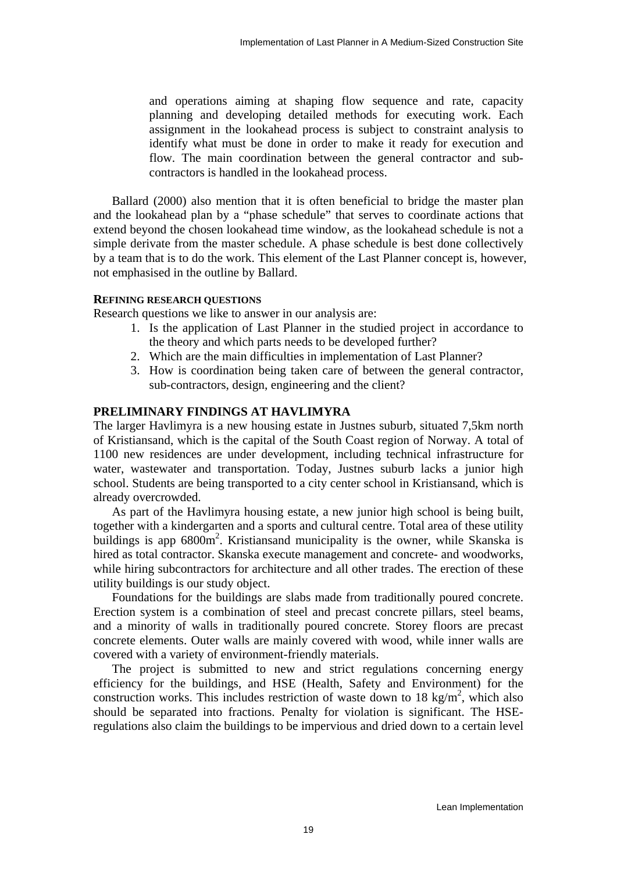and operations aiming at shaping flow sequence and rate, capacity planning and developing detailed methods for executing work. Each assignment in the lookahead process is subject to constraint analysis to identify what must be done in order to make it ready for execution and flow. The main coordination between the general contractor and subcontractors is handled in the lookahead process.

Ballard (2000) also mention that it is often beneficial to bridge the master plan and the lookahead plan by a "phase schedule" that serves to coordinate actions that extend beyond the chosen lookahead time window, as the lookahead schedule is not a simple derivate from the master schedule. A phase schedule is best done collectively by a team that is to do the work. This element of the Last Planner concept is, however, not emphasised in the outline by Ballard.

#### **REFINING RESEARCH QUESTIONS**

Research questions we like to answer in our analysis are:

- 1. Is the application of Last Planner in the studied project in accordance to the theory and which parts needs to be developed further?
- 2. Which are the main difficulties in implementation of Last Planner?
- 3. How is coordination being taken care of between the general contractor, sub-contractors, design, engineering and the client?

#### **PRELIMINARY FINDINGS AT HAVLIMYRA**

The larger Havlimyra is a new housing estate in Justnes suburb, situated 7,5km north of Kristiansand, which is the capital of the South Coast region of Norway. A total of 1100 new residences are under development, including technical infrastructure for water, wastewater and transportation. Today, Justnes suburb lacks a junior high school. Students are being transported to a city center school in Kristiansand, which is already overcrowded.

As part of the Havlimyra housing estate, a new junior high school is being built, together with a kindergarten and a sports and cultural centre. Total area of these utility buildings is app 6800m<sup>2</sup>. Kristiansand municipality is the owner, while Skanska is hired as total contractor. Skanska execute management and concrete- and woodworks, while hiring subcontractors for architecture and all other trades. The erection of these utility buildings is our study object.

Foundations for the buildings are slabs made from traditionally poured concrete. Erection system is a combination of steel and precast concrete pillars, steel beams, and a minority of walls in traditionally poured concrete. Storey floors are precast concrete elements. Outer walls are mainly covered with wood, while inner walls are covered with a variety of environment-friendly materials.

The project is submitted to new and strict regulations concerning energy efficiency for the buildings, and HSE (Health, Safety and Environment) for the construction works. This includes restriction of waste down to 18 kg/m<sup>2</sup>, which also should be separated into fractions. Penalty for violation is significant. The HSEregulations also claim the buildings to be impervious and dried down to a certain level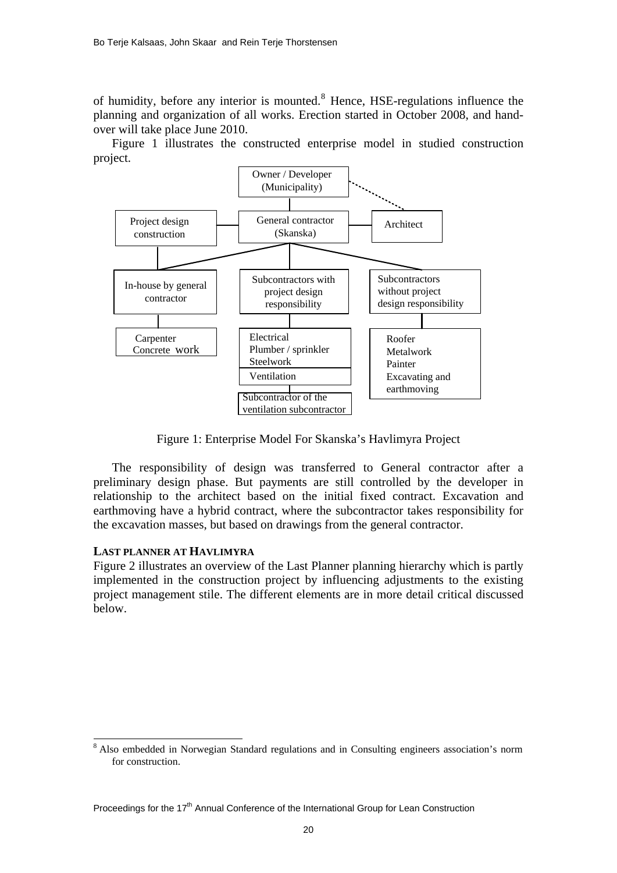of humidity, before any interior is mounted.<sup>[8](#page-5-0)</sup> Hence, HSE-regulations influence the planning and organization of all works. Erection started in October 2008, and handover will take place June 2010.

Figure 1 illustrates the constructed enterprise model in studied construction project.



Figure 1: Enterprise Model For Skanska's Havlimyra Project

The responsibility of design was transferred to General contractor after a preliminary design phase. But payments are still controlled by the developer in relationship to the architect based on the initial fixed contract. Excavation and earthmoving have a hybrid contract, where the subcontractor takes responsibility for the excavation masses, but based on drawings from the general contractor.

#### **LAST PLANNER AT HAVLIMYRA**

 $\overline{a}$ 

Figure 2 illustrates an overview of the Last Planner planning hierarchy which is partly implemented in the construction project by influencing adjustments to the existing project management stile. The different elements are in more detail critical discussed below.

<span id="page-5-0"></span><sup>&</sup>lt;sup>8</sup> Also embedded in Norwegian Standard regulations and in Consulting engineers association's norm for construction.

Proceedings for the 17<sup>th</sup> Annual Conference of the International Group for Lean Construction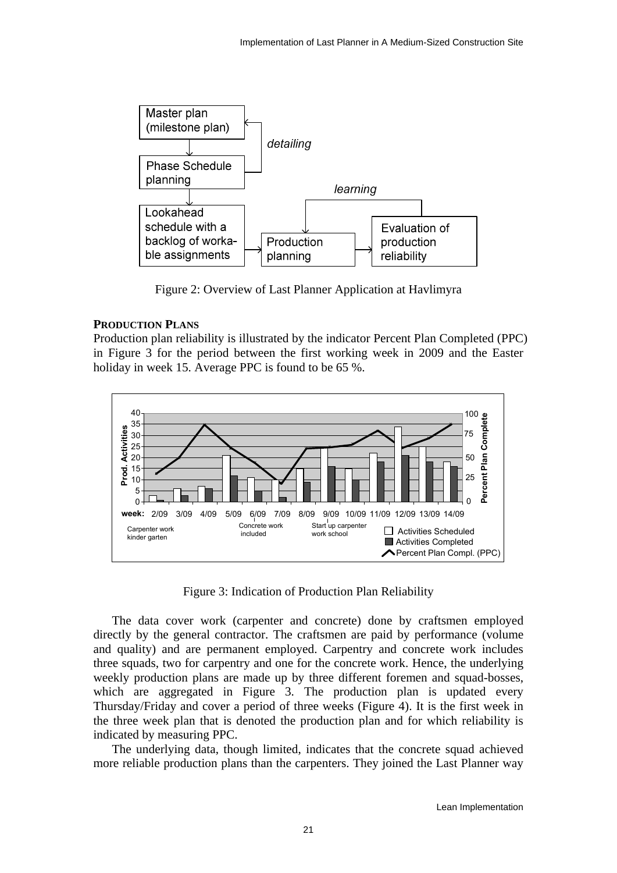

Figure 2: Overview of Last Planner Application at Havlimyra

## **PRODUCTION PLANS**

Production plan reliability is illustrated by the indicator Percent Plan Completed (PPC) in Figure 3 for the period between the first working week in 2009 and the Easter holiday in week 15. Average PPC is found to be 65 %.



Figure 3: Indication of Production Plan Reliability

The data cover work (carpenter and concrete) done by craftsmen employed directly by the general contractor. The craftsmen are paid by performance (volume and quality) and are permanent employed. Carpentry and concrete work includes three squads, two for carpentry and one for the concrete work. Hence, the underlying weekly production plans are made up by three different foremen and squad-bosses, which are aggregated in Figure 3. The production plan is updated every Thursday/Friday and cover a period of three weeks (Figure 4). It is the first week in the three week plan that is denoted the production plan and for which reliability is indicated by measuring PPC.

The underlying data, though limited, indicates that the concrete squad achieved more reliable production plans than the carpenters. They joined the Last Planner way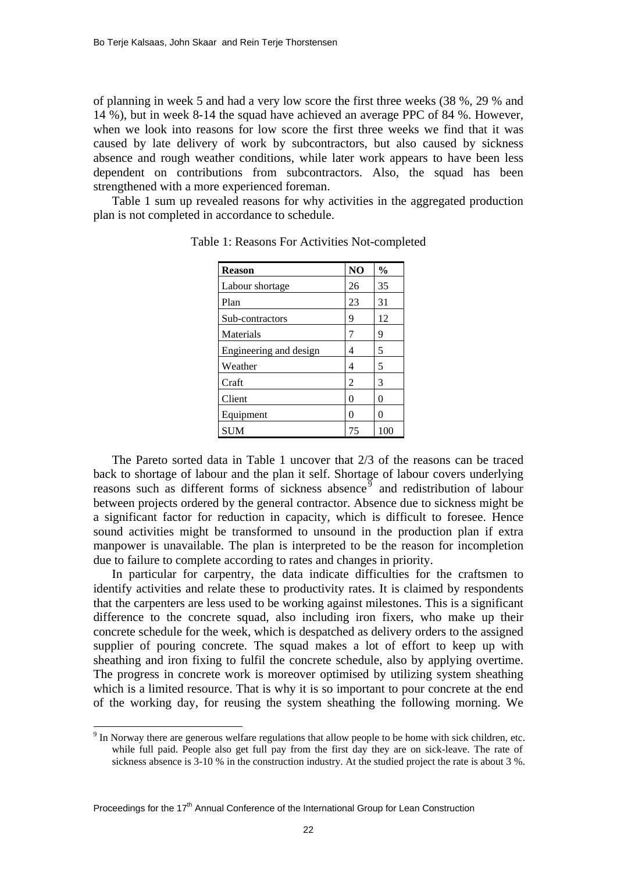of planning in week 5 and had a very low score the first three weeks (38 %, 29 % and 14 %), but in week 8-14 the squad have achieved an average PPC of 84 %. However, when we look into reasons for low score the first three weeks we find that it was caused by late delivery of work by subcontractors, but also caused by sickness absence and rough weather conditions, while later work appears to have been less dependent on contributions from subcontractors. Also, the squad has been strengthened with a more experienced foreman.

Table 1 sum up revealed reasons for why activities in the aggregated production plan is not completed in accordance to schedule.

| <b>Reason</b>          | N <sub>O</sub> | $\frac{0}{0}$ |
|------------------------|----------------|---------------|
| Labour shortage        | 26             | 35            |
| Plan                   | 23             | 31            |
| Sub-contractors        | 9              | 12            |
| Materials              | 7              | 9             |
| Engineering and design | 4              | 5             |
| Weather                | 4              | 5             |
| Craft                  | 2              | 3             |
| Client                 | 0              | 0             |
| Equipment              | 0              | 0             |
| <b>SUM</b>             | 75             | 100           |

Table 1: Reasons For Activities Not-completed

The Pareto sorted data in Table 1 uncover that 2/3 of the reasons can be traced back to shortage of labour and the plan it self. Shortage of labour covers underlying reasons such as different forms of sickness absence  $\overline{9}$  $\overline{9}$  $\overline{9}$  and redistribution of labour between projects ordered by the general contractor. Absence due to sickness might be a significant factor for reduction in capacity, which is difficult to foresee. Hence sound activities might be transformed to unsound in the production plan if extra manpower is unavailable. The plan is interpreted to be the reason for incompletion due to failure to complete according to rates and changes in priority.

In particular for carpentry, the data indicate difficulties for the craftsmen to identify activities and relate these to productivity rates. It is claimed by respondents that the carpenters are less used to be working against milestones. This is a significant difference to the concrete squad, also including iron fixers, who make up their concrete schedule for the week, which is despatched as delivery orders to the assigned supplier of pouring concrete. The squad makes a lot of effort to keep up with sheathing and iron fixing to fulfil the concrete schedule, also by applying overtime. The progress in concrete work is moreover optimised by utilizing system sheathing which is a limited resource. That is why it is so important to pour concrete at the end of the working day, for reusing the system sheathing the following morning. We

 $\overline{a}$ 

<span id="page-7-0"></span> $9<sup>9</sup>$  In Norway there are generous welfare regulations that allow people to be home with sick children, etc. while full paid. People also get full pay from the first day they are on sick-leave. The rate of sickness absence is 3-10 % in the construction industry. At the studied project the rate is about 3 %.

Proceedings for the 17<sup>th</sup> Annual Conference of the International Group for Lean Construction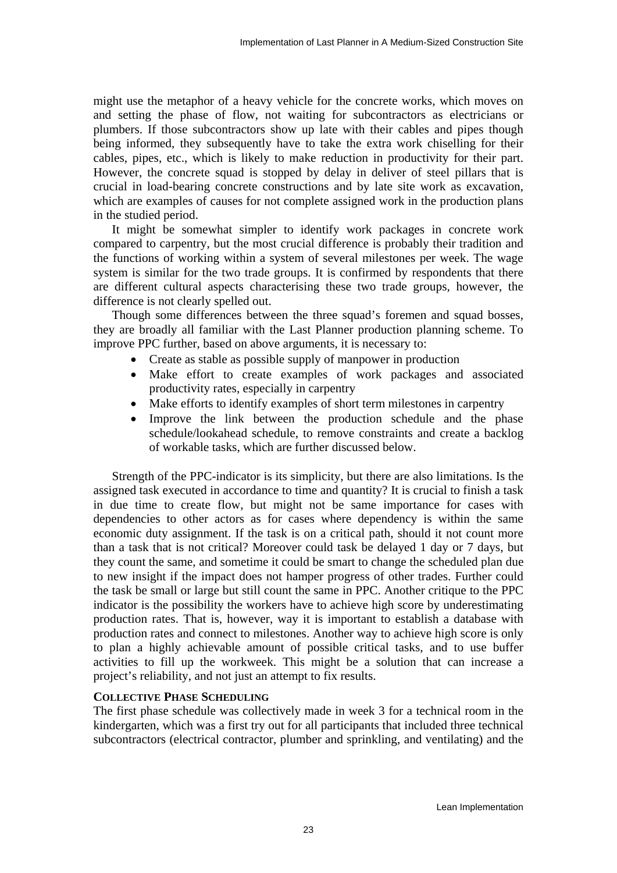might use the metaphor of a heavy vehicle for the concrete works, which moves on and setting the phase of flow, not waiting for subcontractors as electricians or plumbers. If those subcontractors show up late with their cables and pipes though being informed, they subsequently have to take the extra work chiselling for their cables, pipes, etc., which is likely to make reduction in productivity for their part. However, the concrete squad is stopped by delay in deliver of steel pillars that is crucial in load-bearing concrete constructions and by late site work as excavation, which are examples of causes for not complete assigned work in the production plans in the studied period.

It might be somewhat simpler to identify work packages in concrete work compared to carpentry, but the most crucial difference is probably their tradition and the functions of working within a system of several milestones per week. The wage system is similar for the two trade groups. It is confirmed by respondents that there are different cultural aspects characterising these two trade groups, however, the difference is not clearly spelled out.

Though some differences between the three squad's foremen and squad bosses, they are broadly all familiar with the Last Planner production planning scheme. To improve PPC further, based on above arguments, it is necessary to:

- Create as stable as possible supply of manpower in production
- Make effort to create examples of work packages and associated productivity rates, especially in carpentry
- Make efforts to identify examples of short term milestones in carpentry
- Improve the link between the production schedule and the phase schedule/lookahead schedule, to remove constraints and create a backlog of workable tasks, which are further discussed below.

Strength of the PPC-indicator is its simplicity, but there are also limitations. Is the assigned task executed in accordance to time and quantity? It is crucial to finish a task in due time to create flow, but might not be same importance for cases with dependencies to other actors as for cases where dependency is within the same economic duty assignment. If the task is on a critical path, should it not count more than a task that is not critical? Moreover could task be delayed 1 day or 7 days, but they count the same, and sometime it could be smart to change the scheduled plan due to new insight if the impact does not hamper progress of other trades. Further could the task be small or large but still count the same in PPC. Another critique to the PPC indicator is the possibility the workers have to achieve high score by underestimating production rates. That is, however, way it is important to establish a database with production rates and connect to milestones. Another way to achieve high score is only to plan a highly achievable amount of possible critical tasks, and to use buffer activities to fill up the workweek. This might be a solution that can increase a project's reliability, and not just an attempt to fix results.

# **COLLECTIVE PHASE SCHEDULING**

The first phase schedule was collectively made in week 3 for a technical room in the kindergarten, which was a first try out for all participants that included three technical subcontractors (electrical contractor, plumber and sprinkling, and ventilating) and the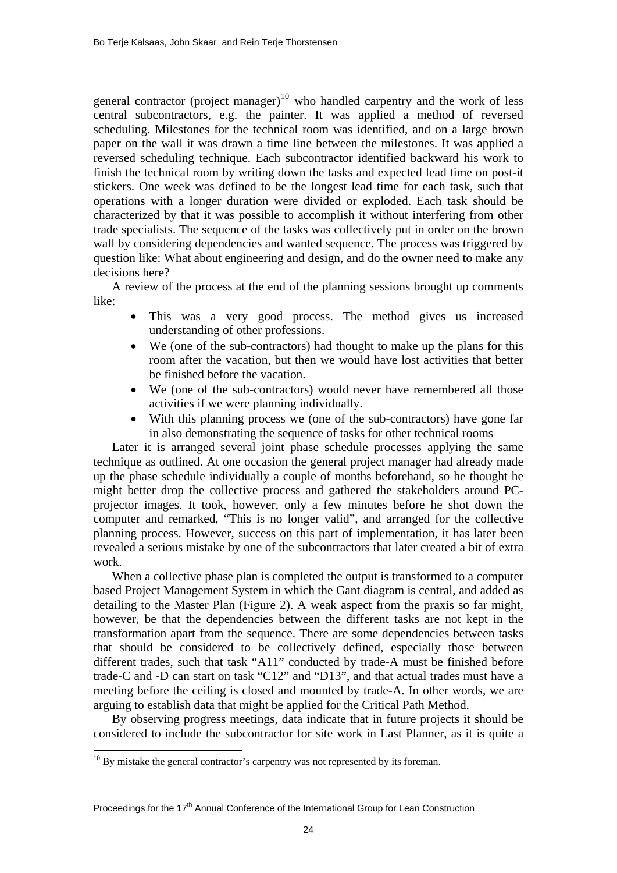general contractor (project manager)<sup>[10](#page-9-0)</sup> who handled carpentry and the work of less central subcontractors, e.g. the painter. It was applied a method of reversed scheduling. Milestones for the technical room was identified, and on a large brown paper on the wall it was drawn a time line between the milestones. It was applied a reversed scheduling technique. Each subcontractor identified backward his work to finish the technical room by writing down the tasks and expected lead time on post-it stickers. One week was defined to be the longest lead time for each task, such that operations with a longer duration were divided or exploded. Each task should be characterized by that it was possible to accomplish it without interfering from other trade specialists. The sequence of the tasks was collectively put in order on the brown wall by considering dependencies and wanted sequence. The process was triggered by question like: What about engineering and design, and do the owner need to make any decisions here?

A review of the process at the end of the planning sessions brought up comments like:

- This was a very good process. The method gives us increased understanding of other professions.
- We (one of the sub-contractors) had thought to make up the plans for this room after the vacation, but then we would have lost activities that better be finished before the vacation.
- We (one of the sub-contractors) would never have remembered all those activities if we were planning individually.
- With this planning process we (one of the sub-contractors) have gone far in also demonstrating the sequence of tasks for other technical rooms

Later it is arranged several joint phase schedule processes applying the same technique as outlined. At one occasion the general project manager had already made up the phase schedule individually a couple of months beforehand, so he thought he might better drop the collective process and gathered the stakeholders around PCprojector images. It took, however, only a few minutes before he shot down the computer and remarked, "This is no longer valid", and arranged for the collective planning process. However, success on this part of implementation, it has later been revealed a serious mistake by one of the subcontractors that later created a bit of extra work.

When a collective phase plan is completed the output is transformed to a computer based Project Management System in which the Gant diagram is central, and added as detailing to the Master Plan (Figure 2). A weak aspect from the praxis so far might, however, be that the dependencies between the different tasks are not kept in the transformation apart from the sequence. There are some dependencies between tasks that should be considered to be collectively defined, especially those between different trades, such that task "A11" conducted by trade-A must be finished before trade-C and -D can start on task "C12" and "D13", and that actual trades must have a meeting before the ceiling is closed and mounted by trade-A. In other words, we are arguing to establish data that might be applied for the Critical Path Method.

By observing progress meetings, data indicate that in future projects it should be considered to include the subcontractor for site work in Last Planner, as it is quite a

 $\overline{a}$ 

<span id="page-9-0"></span> $10$  By mistake the general contractor's carpentry was not represented by its foreman.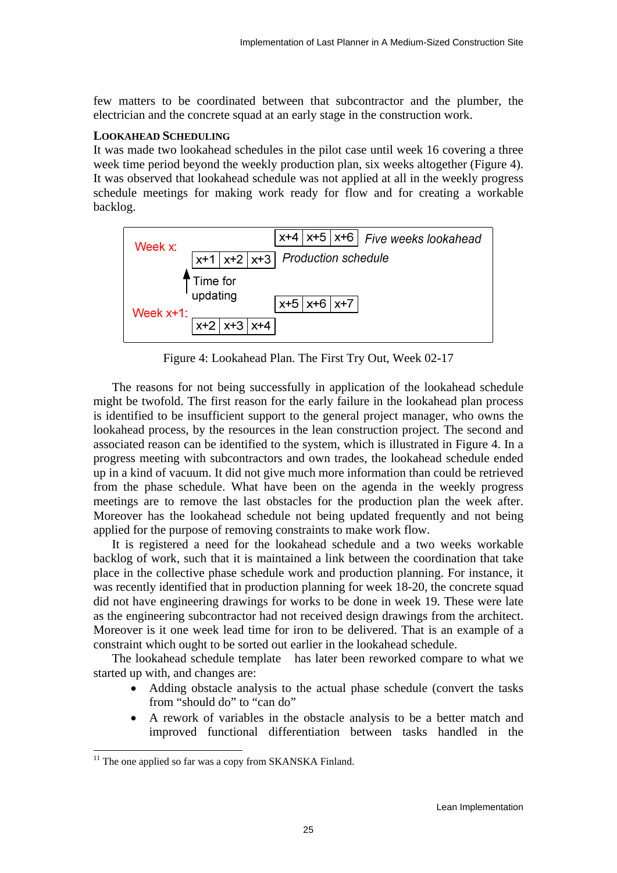few matters to be coordinated between that subcontractor and the plumber, the electrician and the concrete squad at an early stage in the construction work.

## **LOOKAHEAD SCHEDULING**

It was made two lookahead schedules in the pilot case until week 16 covering a three week time period beyond the weekly production plan, six weeks altogether (Figure 4). It was observed that lookahead schedule was not applied at all in the weekly progress schedule meetings for making work ready for flow and for creating a workable backlog.



Figure 4: Lookahead Plan. The First Try Out, Week 02-17

The reasons for not being successfully in application of the lookahead schedule might be twofold. The first reason for the early failure in the lookahead plan process is identified to be insufficient support to the general project manager, who owns the lookahead process, by the resources in the lean construction project. The second and associated reason can be identified to the system, which is illustrated in Figure 4. In a progress meeting with subcontractors and own trades, the lookahead schedule ended up in a kind of vacuum. It did not give much more information than could be retrieved from the phase schedule. What have been on the agenda in the weekly progress meetings are to remove the last obstacles for the production plan the week after. Moreover has the lookahead schedule not being updated frequently and not being applied for the purpose of removing constraints to make work flow.

It is registered a need for the lookahead schedule and a two weeks workable backlog of work, such that it is maintained a link between the coordination that take place in the collective phase schedule work and production planning. For instance, it was recently identified that in production planning for week 18-20, the concrete squad did not have engineering drawings for works to be done in week 19. These were late as the engineering subcontractor had not received design drawings from the architect. Moreover is it one week lead time for iron to be delivered. That is an example of a constraint which ought to be sorted out earlier in the lookahead schedule.

The lookahead schedule template has later been reworked compare to what we started up with, and changes are:

- Adding obstacle analysis to the actual phase schedule (convert the tasks from "should do" to "can do"
- A rework of variables in the obstacle analysis to be a better match and improved functional differentiation between tasks handled in the

 $\overline{a}$ 

<span id="page-10-0"></span> $11$  The one applied so far was a copy from SKANSKA Finland.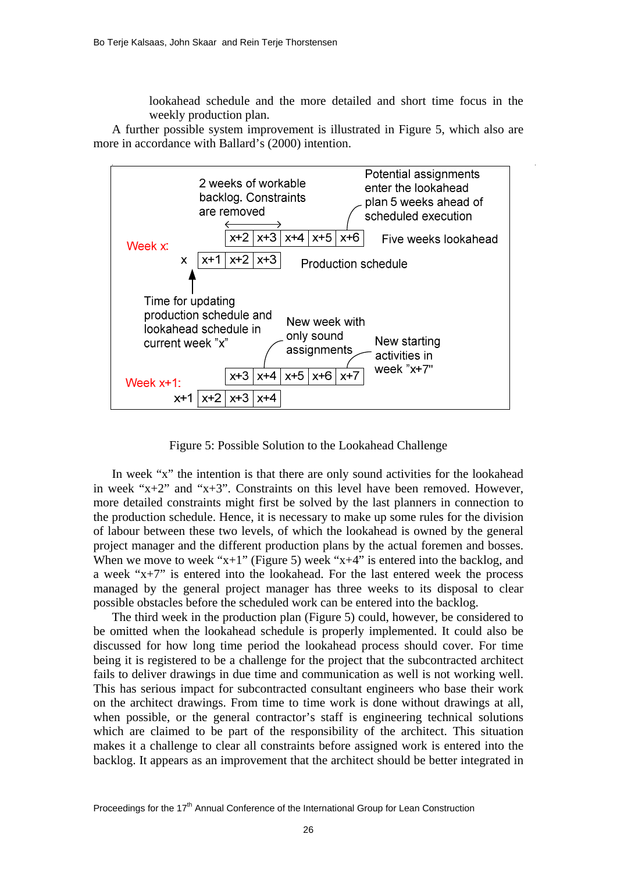lookahead schedule and the more detailed and short time focus in the weekly production plan.

A further possible system improvement is illustrated in Figure 5, which also are more in accordance with Ballard's (2000) intention.



Figure 5: Possible Solution to the Lookahead Challenge

In week "x" the intention is that there are only sound activities for the lookahead in week "x+2" and "x+3". Constraints on this level have been removed. However, more detailed constraints might first be solved by the last planners in connection to the production schedule. Hence, it is necessary to make up some rules for the division of labour between these two levels, of which the lookahead is owned by the general project manager and the different production plans by the actual foremen and bosses. When we move to week " $x+1$ " (Figure 5) week " $x+4$ " is entered into the backlog, and a week " $x+7$ " is entered into the lookahead. For the last entered week the process managed by the general project manager has three weeks to its disposal to clear possible obstacles before the scheduled work can be entered into the backlog.

The third week in the production plan (Figure 5) could, however, be considered to be omitted when the lookahead schedule is properly implemented. It could also be discussed for how long time period the lookahead process should cover. For time being it is registered to be a challenge for the project that the subcontracted architect fails to deliver drawings in due time and communication as well is not working well. This has serious impact for subcontracted consultant engineers who base their work on the architect drawings. From time to time work is done without drawings at all, when possible, or the general contractor's staff is engineering technical solutions which are claimed to be part of the responsibility of the architect. This situation makes it a challenge to clear all constraints before assigned work is entered into the backlog. It appears as an improvement that the architect should be better integrated in

Proceedings for the  $17<sup>th</sup>$  Annual Conference of the International Group for Lean Construction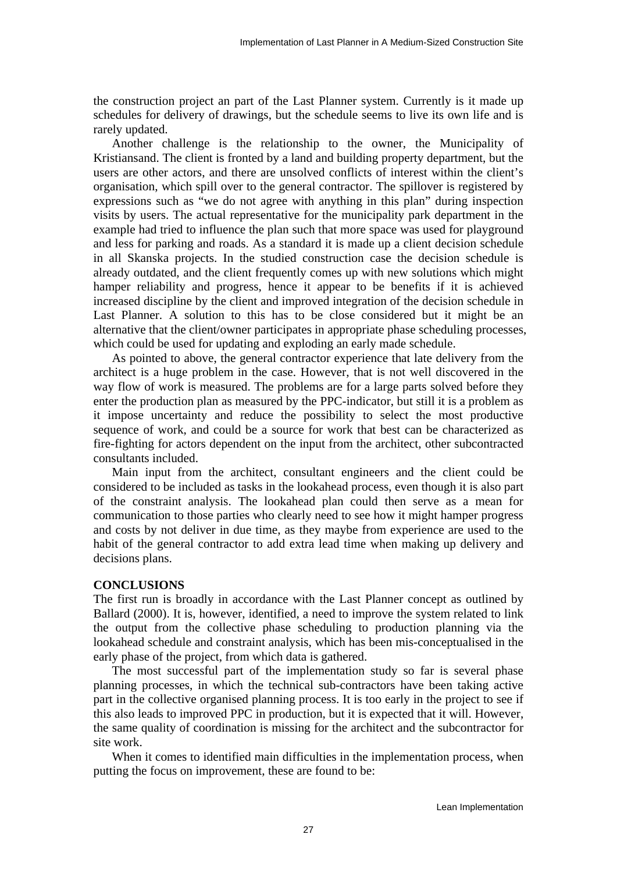the construction project an part of the Last Planner system. Currently is it made up schedules for delivery of drawings, but the schedule seems to live its own life and is rarely updated.

Another challenge is the relationship to the owner, the Municipality of Kristiansand. The client is fronted by a land and building property department, but the users are other actors, and there are unsolved conflicts of interest within the client's organisation, which spill over to the general contractor. The spillover is registered by expressions such as "we do not agree with anything in this plan" during inspection visits by users. The actual representative for the municipality park department in the example had tried to influence the plan such that more space was used for playground and less for parking and roads. As a standard it is made up a client decision schedule in all Skanska projects. In the studied construction case the decision schedule is already outdated, and the client frequently comes up with new solutions which might hamper reliability and progress, hence it appear to be benefits if it is achieved increased discipline by the client and improved integration of the decision schedule in Last Planner. A solution to this has to be close considered but it might be an alternative that the client/owner participates in appropriate phase scheduling processes, which could be used for updating and exploding an early made schedule.

As pointed to above, the general contractor experience that late delivery from the architect is a huge problem in the case. However, that is not well discovered in the way flow of work is measured. The problems are for a large parts solved before they enter the production plan as measured by the PPC-indicator, but still it is a problem as it impose uncertainty and reduce the possibility to select the most productive sequence of work, and could be a source for work that best can be characterized as fire-fighting for actors dependent on the input from the architect, other subcontracted consultants included.

Main input from the architect, consultant engineers and the client could be considered to be included as tasks in the lookahead process, even though it is also part of the constraint analysis. The lookahead plan could then serve as a mean for communication to those parties who clearly need to see how it might hamper progress and costs by not deliver in due time, as they maybe from experience are used to the habit of the general contractor to add extra lead time when making up delivery and decisions plans.

#### **CONCLUSIONS**

The first run is broadly in accordance with the Last Planner concept as outlined by Ballard (2000). It is, however, identified, a need to improve the system related to link the output from the collective phase scheduling to production planning via the lookahead schedule and constraint analysis, which has been mis-conceptualised in the early phase of the project, from which data is gathered.

The most successful part of the implementation study so far is several phase planning processes, in which the technical sub-contractors have been taking active part in the collective organised planning process. It is too early in the project to see if this also leads to improved PPC in production, but it is expected that it will. However, the same quality of coordination is missing for the architect and the subcontractor for site work.

When it comes to identified main difficulties in the implementation process, when putting the focus on improvement, these are found to be: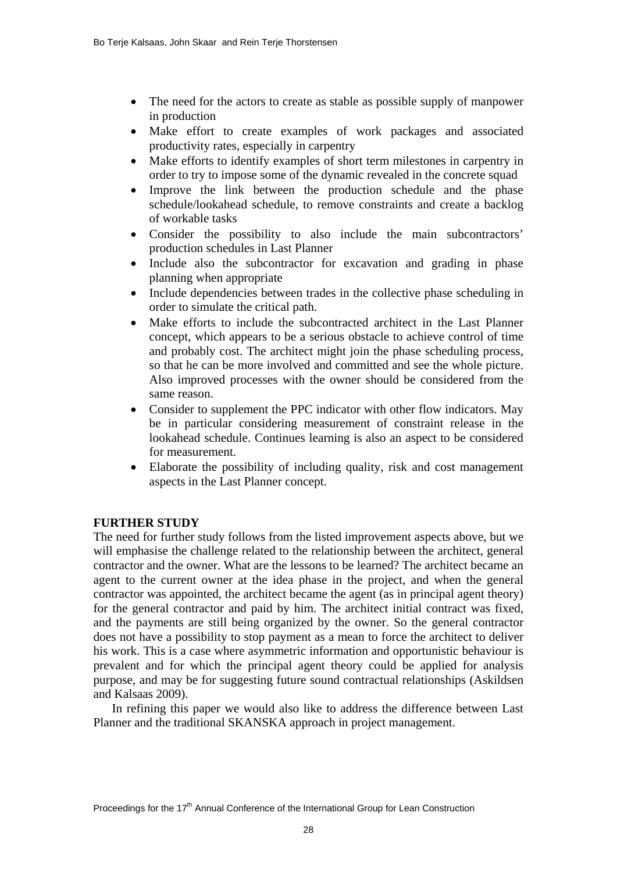- The need for the actors to create as stable as possible supply of manpower in production
- Make effort to create examples of work packages and associated productivity rates, especially in carpentry
- Make efforts to identify examples of short term milestones in carpentry in order to try to impose some of the dynamic revealed in the concrete squad
- Improve the link between the production schedule and the phase schedule/lookahead schedule, to remove constraints and create a backlog of workable tasks
- Consider the possibility to also include the main subcontractors' production schedules in Last Planner
- Include also the subcontractor for excavation and grading in phase planning when appropriate
- Include dependencies between trades in the collective phase scheduling in order to simulate the critical path.
- Make efforts to include the subcontracted architect in the Last Planner concept, which appears to be a serious obstacle to achieve control of time and probably cost. The architect might join the phase scheduling process, so that he can be more involved and committed and see the whole picture. Also improved processes with the owner should be considered from the same reason.
- Consider to supplement the PPC indicator with other flow indicators. May be in particular considering measurement of constraint release in the lookahead schedule. Continues learning is also an aspect to be considered for measurement.
- Elaborate the possibility of including quality, risk and cost management aspects in the Last Planner concept.

# **FURTHER STUDY**

The need for further study follows from the listed improvement aspects above, but we will emphasise the challenge related to the relationship between the architect, general contractor and the owner. What are the lessons to be learned? The architect became an agent to the current owner at the idea phase in the project, and when the general contractor was appointed, the architect became the agent (as in principal agent theory) for the general contractor and paid by him. The architect initial contract was fixed, and the payments are still being organized by the owner. So the general contractor does not have a possibility to stop payment as a mean to force the architect to deliver his work. This is a case where asymmetric information and opportunistic behaviour is prevalent and for which the principal agent theory could be applied for analysis purpose, and may be for suggesting future sound contractual relationships (Askildsen and Kalsaas 2009).

In refining this paper we would also like to address the difference between Last Planner and the traditional SKANSKA approach in project management.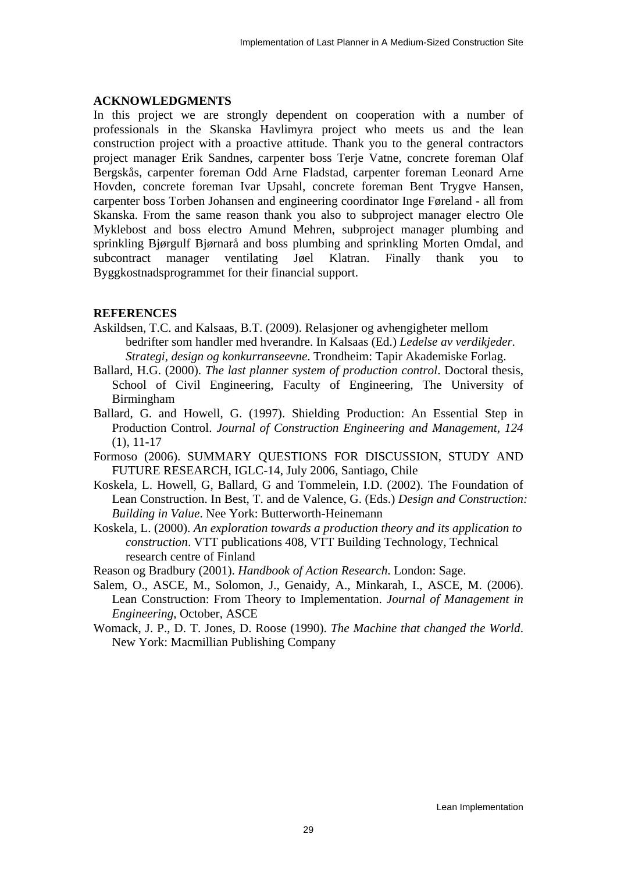## **ACKNOWLEDGMENTS**

In this project we are strongly dependent on cooperation with a number of professionals in the Skanska Havlimyra project who meets us and the lean construction project with a proactive attitude. Thank you to the general contractors project manager Erik Sandnes, carpenter boss Terje Vatne, concrete foreman Olaf Bergskås, carpenter foreman Odd Arne Fladstad, carpenter foreman Leonard Arne Hovden, concrete foreman Ivar Upsahl, concrete foreman Bent Trygve Hansen, carpenter boss Torben Johansen and engineering coordinator Inge Føreland - all from Skanska. From the same reason thank you also to subproject manager electro Ole Myklebost and boss electro Amund Mehren, subproject manager plumbing and sprinkling Bjørgulf Bjørnarå and boss plumbing and sprinkling Morten Omdal, and subcontract manager ventilating Jøel Klatran. Finally thank you to Byggkostnadsprogrammet for their financial support.

## **REFERENCES**

- Askildsen, T.C. and Kalsaas, B.T. (2009). Relasjoner og avhengigheter mellom bedrifter som handler med hverandre. In Kalsaas (Ed.) *Ledelse av verdikjeder. Strategi, design og konkurranseevne*. Trondheim: Tapir Akademiske Forlag.
- Ballard, H.G. (2000). *The last planner system of production control*. Doctoral thesis, School of Civil Engineering, Faculty of Engineering, The University of Birmingham
- Ballard, G. and Howell, G. (1997). Shielding Production: An Essential Step in Production Control. *Journal of Construction Engineering and Management, 124* (1), 11-17
- Formoso (2006). SUMMARY QUESTIONS FOR DISCUSSION, STUDY AND FUTURE RESEARCH, IGLC-14, July 2006, Santiago, Chile
- Koskela, L. Howell, G, Ballard, G and Tommelein, I.D. (2002). The Foundation of Lean Construction. In Best, T. and de Valence, G. (Eds.) *Design and Construction: Building in Value*. Nee York: Butterworth-Heinemann
- Koskela, L. (2000). *An exploration towards a production theory and its application to construction*. VTT publications 408, VTT Building Technology, Technical research centre of Finland

Reason og Bradbury (2001). *Handbook of Action Research*. London: Sage.

- Salem, O., ASCE, M., Solomon, J., Genaidy, A., Minkarah, I., ASCE, M. (2006). Lean Construction: From Theory to Implementation. *Journal of Management in Engineering*, October, ASCE
- Womack, J. P., D. T. Jones, D. Roose (1990). *The Machine that changed the World*. New York: Macmillian Publishing Company